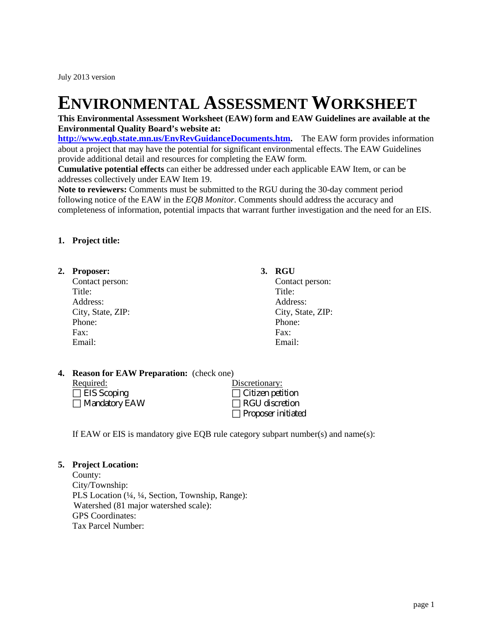# **ENVIRONMENTAL ASSESSMENT WORKSHEET**

### **This Environmental Assessment Worksheet (EAW) form and EAW Guidelines are available at the Environmental Quality Board's website at:**

**[http://www.eqb.state.mn.us/EnvRevGuidanceDocuments.htm.](http://www.eqb.state.mn.us/EnvRevGuidanceDocuments.htm)** The EAW form provides information about a project that may have the potential for significant environmental effects. The EAW Guidelines provide additional detail and resources for completing the EAW form.

**Cumulative potential effects** can either be addressed under each applicable EAW Item, or can be addresses collectively under EAW Item 19.

**Note to reviewers:** Comments must be submitted to the RGU during the 30-day comment period following notice of the EAW in the *EQB Monitor*. Comments should address the accuracy and completeness of information, potential impacts that warrant further investigation and the need for an EIS.

### **1. Project title:**

# **2. Proposer: 3. RGU**

Contact person: Contact person: Title: Title: Address: Address: Address: Address: Address: Address: Address: Address: Address: Address: Address: Address: Address: Address: Address: Address: Address: Address: Address: Address: Address: Address: Address: Address: Addres Phone: Phone: Fax: Fax: Email: Email:

City, State, ZIP: City, State, ZIP:

### **4. Reason for EAW Preparation:** (check one)

| Required:            |  | Discretionary:            |
|----------------------|--|---------------------------|
| $\Box$ EIS Scoping   |  | $\Box$ Citizen petition   |
| $\Box$ Mandatory EAW |  | $\Box$ RGU discretion     |
|                      |  | $\Box$ Proposer initiated |

If EAW or EIS is mandatory give EQB rule category subpart number(s) and name(s):

#### **5. Project Location:**

County: City/Township: PLS Location (¼, ¼, Section, Township, Range): Watershed (81 major watershed scale): GPS Coordinates: Tax Parcel Number: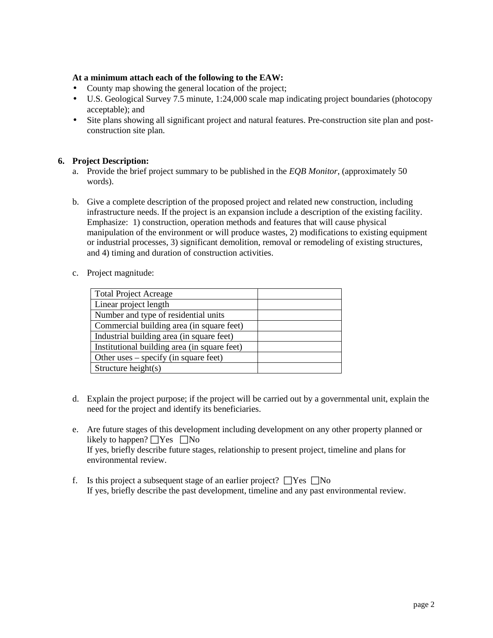# **At a minimum attach each of the following to the EAW:**

- County map showing the general location of the project;
- U.S. Geological Survey 7.5 minute, 1:24,000 scale map indicating project boundaries (photocopy ä, acceptable); and
- Site plans showing all significant project and natural features. Pre-construction site plan and post-¥. construction site plan.

# **6. Project Description:**

- a. Provide the brief project summary to be published in the *EQB Monitor*, (approximately 50 words).
- b. Give a complete description of the proposed project and related new construction, including infrastructure needs. If the project is an expansion include a description of the existing facility. Emphasize: 1) construction, operation methods and features that will cause physical manipulation of the environment or will produce wastes, 2) modifications to existing equipment or industrial processes, 3) significant demolition, removal or remodeling of existing structures, and 4) timing and duration of construction activities.
- c. Project magnitude:

| <b>Total Project Acreage</b>                 |  |
|----------------------------------------------|--|
| Linear project length                        |  |
| Number and type of residential units         |  |
| Commercial building area (in square feet)    |  |
| Industrial building area (in square feet)    |  |
| Institutional building area (in square feet) |  |
| Other uses – specify (in square feet)        |  |
| Structure height(s)                          |  |

- d. Explain the project purpose; if the project will be carried out by a governmental unit, explain the need for the project and identify its beneficiaries.
- e. Are future stages of this development including development on any other property planned or likely to happen?  $\Box$  Yes  $\Box$  No If yes, briefly describe future stages, relationship to present project, timeline and plans for environmental review.
- f. Is this project a subsequent stage of an earlier project?  $\Box$  Yes  $\Box$  No If yes, briefly describe the past development, timeline and any past environmental review.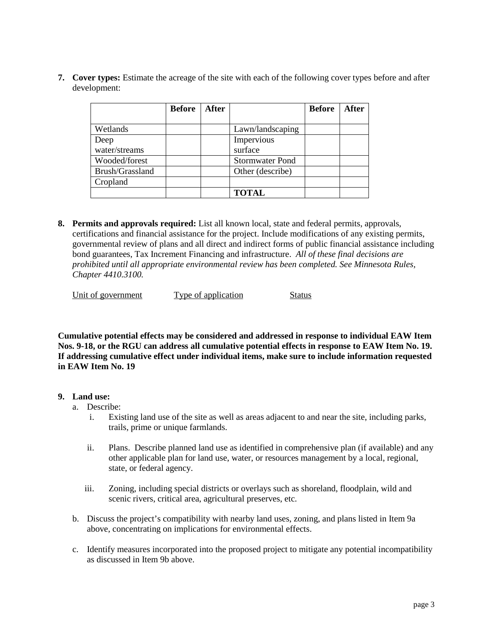**7. Cover types:** Estimate the acreage of the site with each of the following cover types before and after development:

|                 | <b>Before</b> | <b>After</b> |                        | <b>Before</b> | <b>After</b> |
|-----------------|---------------|--------------|------------------------|---------------|--------------|
|                 |               |              |                        |               |              |
| Wetlands        |               |              | Lawn/landscaping       |               |              |
| Deep            |               |              | Impervious             |               |              |
| water/streams   |               |              | surface                |               |              |
| Wooded/forest   |               |              | <b>Stormwater Pond</b> |               |              |
| Brush/Grassland |               |              | Other (describe)       |               |              |
| Cropland        |               |              |                        |               |              |
|                 |               |              | <b>TOTAL</b>           |               |              |

**8. Permits and approvals required:** List all known local, state and federal permits, approvals, certifications and financial assistance for the project. Include modifications of any existing permits, governmental review of plans and all direct and indirect forms of public financial assistance including bond guarantees, Tax Increment Financing and infrastructure. *All of these final decisions are prohibited until all appropriate environmental review has been completed. See Minnesota Rules, Chapter 4410.3100.*

| Unit of government | Type of application | Status |
|--------------------|---------------------|--------|
|                    |                     |        |

**Cumulative potential effects may be considered and addressed in response to individual EAW Item Nos. 9-18, or the RGU can address all cumulative potential effects in response to EAW Item No. 19. If addressing cumulative effect under individual items, make sure to include information requested in EAW Item No. 19** 

# **9. Land use:**

- a. Describe:
	- i. Existing land use of the site as well as areas adjacent to and near the site, including parks, trails, prime or unique farmlands.
	- ii. Plans. Describe planned land use as identified in comprehensive plan (if available) and any other applicable plan for land use, water, or resources management by a local, regional, state, or federal agency.
	- iii. Zoning, including special districts or overlays such as shoreland, floodplain, wild and scenic rivers, critical area, agricultural preserves, etc.
- b. Discuss the project's compatibility with nearby land uses, zoning, and plans listed in Item 9a above, concentrating on implications for environmental effects.
- c. Identify measures incorporated into the proposed project to mitigate any potential incompatibility as discussed in Item 9b above.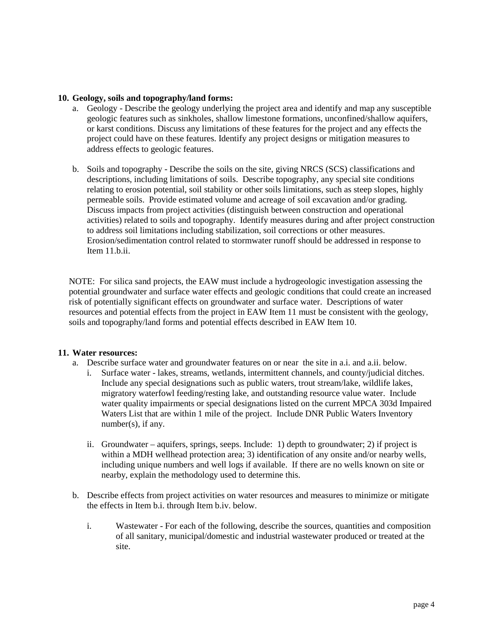### **10. Geology, soils and topography/land forms:**

- a. Geology Describe the geology underlying the project area and identify and map any susceptible geologic features such as sinkholes, shallow limestone formations, unconfined/shallow aquifers, or karst conditions. Discuss any limitations of these features for the project and any effects the project could have on these features. Identify any project designs or mitigation measures to address effects to geologic features.
- b. Soils and topography Describe the soils on the site, giving NRCS (SCS) classifications and descriptions, including limitations of soils. Describe topography, any special site conditions relating to erosion potential, soil stability or other soils limitations, such as steep slopes, highly permeable soils. Provide estimated volume and acreage of soil excavation and/or grading. Discuss impacts from project activities (distinguish between construction and operational activities) related to soils and topography. Identify measures during and after project construction to address soil limitations including stabilization, soil corrections or other measures. Erosion/sedimentation control related to stormwater runoff should be addressed in response to Item 11.b.ii.

NOTE: For silica sand projects, the EAW must include a hydrogeologic investigation assessing the potential groundwater and surface water effects and geologic conditions that could create an increased risk of potentially significant effects on groundwater and surface water. Descriptions of water resources and potential effects from the project in EAW Item 11 must be consistent with the geology, soils and topography/land forms and potential effects described in EAW Item 10.

### **11. Water resources:**

- a. Describe surface water and groundwater features on or near the site in a.i. and a.ii. below.
	- i. Surface water lakes, streams, wetlands, intermittent channels, and county/judicial ditches. Include any special designations such as public waters, trout stream/lake, wildlife lakes, migratory waterfowl feeding/resting lake, and outstanding resource value water. Include water quality impairments or special designations listed on the current MPCA 303d Impaired Waters List that are within 1 mile of the project. Include DNR Public Waters Inventory number(s), if any.
	- ii. Groundwater aquifers, springs, seeps. Include: 1) depth to groundwater; 2) if project is within a MDH wellhead protection area; 3) identification of any onsite and/or nearby wells, including unique numbers and well logs if available. If there are no wells known on site or nearby, explain the methodology used to determine this.
- b. Describe effects from project activities on water resources and measures to minimize or mitigate the effects in Item b.i. through Item b.iv. below.
	- i. Wastewater For each of the following, describe the sources, quantities and composition of all sanitary, municipal/domestic and industrial wastewater produced or treated at the site.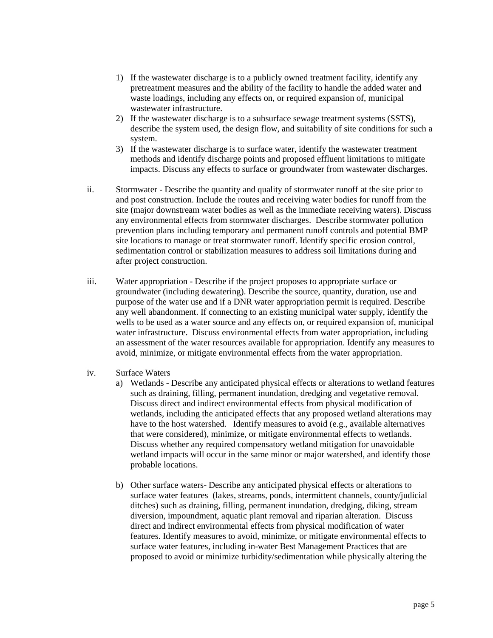- 1) If the wastewater discharge is to a publicly owned treatment facility, identify any pretreatment measures and the ability of the facility to handle the added water and waste loadings, including any effects on, or required expansion of, municipal wastewater infrastructure.
- 2) If the wastewater discharge is to a subsurface sewage treatment systems (SSTS), describe the system used, the design flow, and suitability of site conditions for such a system.
- 3) If the wastewater discharge is to surface water, identify the wastewater treatment methods and identify discharge points and proposed effluent limitations to mitigate impacts. Discuss any effects to surface or groundwater from wastewater discharges.
- ii. Stormwater Describe the quantity and quality of stormwater runoff at the site prior to and post construction. Include the routes and receiving water bodies for runoff from the site (major downstream water bodies as well as the immediate receiving waters). Discuss any environmental effects from stormwater discharges. Describe stormwater pollution prevention plans including temporary and permanent runoff controls and potential BMP site locations to manage or treat stormwater runoff. Identify specific erosion control, sedimentation control or stabilization measures to address soil limitations during and after project construction.
- iii. Water appropriation Describe if the project proposes to appropriate surface or groundwater (including dewatering). Describe the source, quantity, duration, use and purpose of the water use and if a DNR water appropriation permit is required. Describe any well abandonment. If connecting to an existing municipal water supply, identify the wells to be used as a water source and any effects on, or required expansion of, municipal water infrastructure. Discuss environmental effects from water appropriation, including an assessment of the water resources available for appropriation. Identify any measures to avoid, minimize, or mitigate environmental effects from the water appropriation.
- iv. Surface Waters
	- a) Wetlands Describe any anticipated physical effects or alterations to wetland features such as draining, filling, permanent inundation, dredging and vegetative removal. Discuss direct and indirect environmental effects from physical modification of wetlands, including the anticipated effects that any proposed wetland alterations may have to the host watershed. Identify measures to avoid (e.g., available alternatives that were considered), minimize, or mitigate environmental effects to wetlands. Discuss whether any required compensatory wetland mitigation for unavoidable wetland impacts will occur in the same minor or major watershed, and identify those probable locations.
	- b) Other surface waters- Describe any anticipated physical effects or alterations to surface water features (lakes, streams, ponds, intermittent channels, county/judicial ditches) such as draining, filling, permanent inundation, dredging, diking, stream diversion, impoundment, aquatic plant removal and riparian alteration. Discuss direct and indirect environmental effects from physical modification of water features. Identify measures to avoid, minimize, or mitigate environmental effects to surface water features, including in-water Best Management Practices that are proposed to avoid or minimize turbidity/sedimentation while physically altering the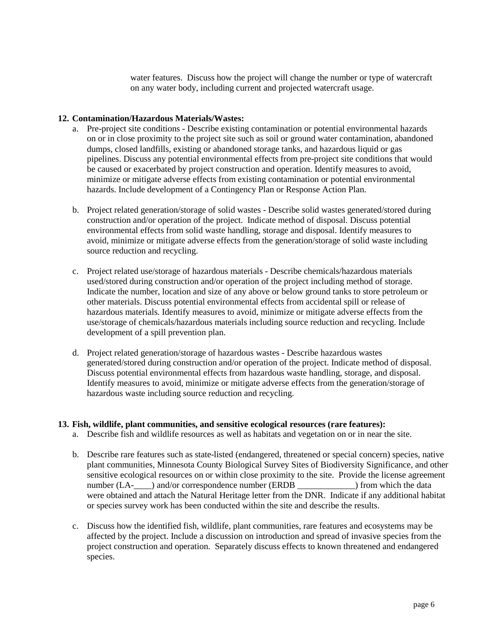water features. Discuss how the project will change the number or type of watercraft on any water body, including current and projected watercraft usage.

#### **12. Contamination/Hazardous Materials/Wastes:**

- a. Pre-project site conditions Describe existing contamination or potential environmental hazards on or in close proximity to the project site such as soil or ground water contamination, abandoned dumps, closed landfills, existing or abandoned storage tanks, and hazardous liquid or gas pipelines. Discuss any potential environmental effects from pre-project site conditions that would be caused or exacerbated by project construction and operation. Identify measures to avoid, minimize or mitigate adverse effects from existing contamination or potential environmental hazards. Include development of a Contingency Plan or Response Action Plan.
- b. Project related generation/storage of solid wastes Describe solid wastes generated/stored during construction and/or operation of the project. Indicate method of disposal. Discuss potential environmental effects from solid waste handling, storage and disposal. Identify measures to avoid, minimize or mitigate adverse effects from the generation/storage of solid waste including source reduction and recycling.
- c. Project related use/storage of hazardous materials Describe chemicals/hazardous materials used/stored during construction and/or operation of the project including method of storage. Indicate the number, location and size of any above or below ground tanks to store petroleum or other materials. Discuss potential environmental effects from accidental spill or release of hazardous materials. Identify measures to avoid, minimize or mitigate adverse effects from the use/storage of chemicals/hazardous materials including source reduction and recycling. Include development of a spill prevention plan.
- d. Project related generation/storage of hazardous wastes Describe hazardous wastes generated/stored during construction and/or operation of the project. Indicate method of disposal. Discuss potential environmental effects from hazardous waste handling, storage, and disposal. Identify measures to avoid, minimize or mitigate adverse effects from the generation/storage of hazardous waste including source reduction and recycling.

#### **13. Fish, wildlife, plant communities, and sensitive ecological resources (rare features):**

- a. Describe fish and wildlife resources as well as habitats and vegetation on or in near the site.
- b. Describe rare features such as state-listed (endangered, threatened or special concern) species, native plant communities, Minnesota County Biological Survey Sites of Biodiversity Significance, and other sensitive ecological resources on or within close proximity to the site. Provide the license agreement number (LA-\_\_\_\_) and/or correspondence number (ERDB \_\_\_\_\_\_\_\_\_\_\_\_\_) from which the data were obtained and attach the Natural Heritage letter from the DNR. Indicate if any additional habitat or species survey work has been conducted within the site and describe the results.
- c. Discuss how the identified fish, wildlife, plant communities, rare features and ecosystems may be affected by the project. Include a discussion on introduction and spread of invasive species from the project construction and operation. Separately discuss effects to known threatened and endangered species.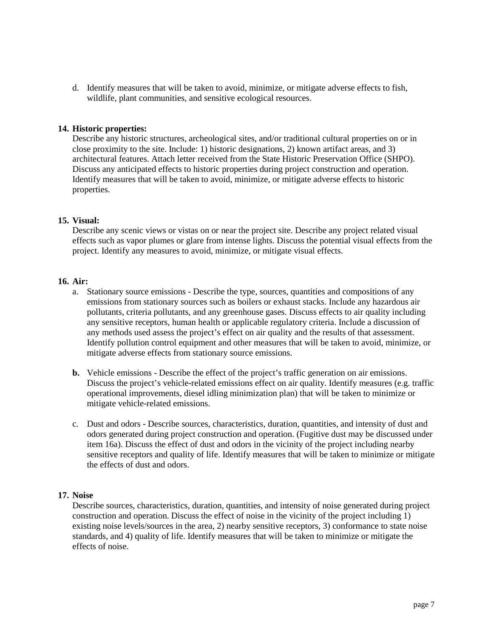d. Identify measures that will be taken to avoid, minimize, or mitigate adverse effects to fish, wildlife, plant communities, and sensitive ecological resources.

#### **14. Historic properties:**

Describe any historic structures, archeological sites, and/or traditional cultural properties on or in close proximity to the site. Include: 1) historic designations, 2) known artifact areas, and 3) architectural features. Attach letter received from the State Historic Preservation Office (SHPO). Discuss any anticipated effects to historic properties during project construction and operation. Identify measures that will be taken to avoid, minimize, or mitigate adverse effects to historic properties.

#### **15. Visual:**

Describe any scenic views or vistas on or near the project site. Describe any project related visual effects such as vapor plumes or glare from intense lights. Discuss the potential visual effects from the project. Identify any measures to avoid, minimize, or mitigate visual effects.

### **16. Air:**

- a. Stationary source emissions Describe the type, sources, quantities and compositions of any emissions from stationary sources such as boilers or exhaust stacks. Include any hazardous air pollutants, criteria pollutants, and any greenhouse gases. Discuss effects to air quality including any sensitive receptors, human health or applicable regulatory criteria. Include a discussion of any methods used assess the project's effect on air quality and the results of that assessment. Identify pollution control equipment and other measures that will be taken to avoid, minimize, or mitigate adverse effects from stationary source emissions.
- **b.** Vehicle emissions Describe the effect of the project's traffic generation on air emissions. Discuss the project's vehicle-related emissions effect on air quality. Identify measures (e.g. traffic operational improvements, diesel idling minimization plan) that will be taken to minimize or mitigate vehicle-related emissions.
- c. Dust and odors Describe sources, characteristics, duration, quantities, and intensity of dust and odors generated during project construction and operation. (Fugitive dust may be discussed under item 16a). Discuss the effect of dust and odors in the vicinity of the project including nearby sensitive receptors and quality of life. Identify measures that will be taken to minimize or mitigate the effects of dust and odors.

#### **17. Noise**

Describe sources, characteristics, duration, quantities, and intensity of noise generated during project construction and operation. Discuss the effect of noise in the vicinity of the project including 1) existing noise levels/sources in the area, 2) nearby sensitive receptors, 3) conformance to state noise standards, and 4) quality of life. Identify measures that will be taken to minimize or mitigate the effects of noise.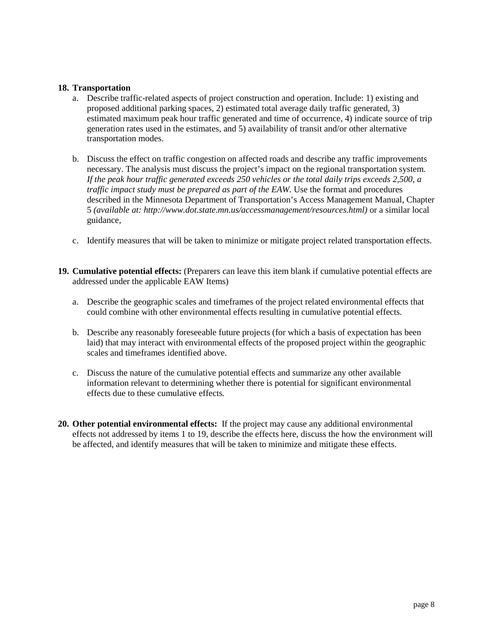#### **18. Transportation**

- a. Describe traffic-related aspects of project construction and operation. Include: 1) existing and proposed additional parking spaces, 2) estimated total average daily traffic generated, 3) estimated maximum peak hour traffic generated and time of occurrence, 4) indicate source of trip generation rates used in the estimates, and 5) availability of transit and/or other alternative transportation modes.
- b. Discuss the effect on traffic congestion on affected roads and describe any traffic improvements necessary. The analysis must discuss the project's impact on the regional transportation system. *If the peak hour traffic generated exceeds 250 vehicles or the total daily trips exceeds 2,500, a traffic impact study must be prepared as part of the EAW.* Use the format and procedures described in the Minnesota Department of Transportation's Access Management Manual, Chapter 5 *(available at: http://www.dot.state.mn.us/accessmanagement/resources.html)* or a similar local guidance,
- c. Identify measures that will be taken to minimize or mitigate project related transportation effects.
- **19. Cumulative potential effects:** (Preparers can leave this item blank if cumulative potential effects are addressed under the applicable EAW Items)
	- a. Describe the geographic scales and timeframes of the project related environmental effects that could combine with other environmental effects resulting in cumulative potential effects.
	- b. Describe any reasonably foreseeable future projects (for which a basis of expectation has been laid) that may interact with environmental effects of the proposed project within the geographic scales and timeframes identified above.
	- c. Discuss the nature of the cumulative potential effects and summarize any other available information relevant to determining whether there is potential for significant environmental effects due to these cumulative effects*.*
- **20. Other potential environmental effects:** If the project may cause any additional environmental effects not addressed by items 1 to 19, describe the effects here, discuss the how the environment will be affected, and identify measures that will be taken to minimize and mitigate these effects.